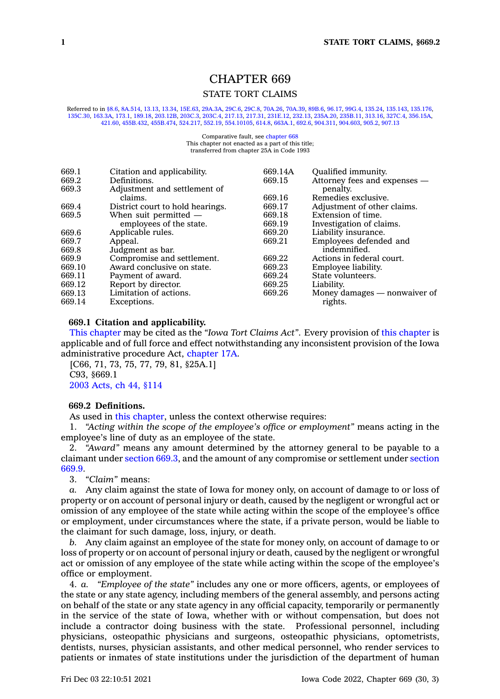# CHAPTER 669

# STATE TORT CLAIMS

Referred to in [§8.6](https://www.legis.iowa.gov/docs/code/8.6.pdf), [8A.514,](https://www.legis.iowa.gov/docs/code/8A.514.pdf) [13.13](https://www.legis.iowa.gov/docs/code/13.13.pdf), [13.34](https://www.legis.iowa.gov/docs/code/13.34.pdf), [15E.63](https://www.legis.iowa.gov/docs/code/15E.63.pdf), [29A.3A](https://www.legis.iowa.gov/docs/code/29A.3A.pdf), [29C.6](https://www.legis.iowa.gov/docs/code/29C.6.pdf), [29C.8,](https://www.legis.iowa.gov/docs/code/29C.8.pdf) [70A.26](https://www.legis.iowa.gov/docs/code/70A.26.pdf), [70A.39,](https://www.legis.iowa.gov/docs/code/70A.39.pdf) [89B.6](https://www.legis.iowa.gov/docs/code/89B.6.pdf), [96.17](https://www.legis.iowa.gov/docs/code/96.17.pdf), [99G.4](https://www.legis.iowa.gov/docs/code/99G.4.pdf), [135.24,](https://www.legis.iowa.gov/docs/code/135.24.pdf) [135.143](https://www.legis.iowa.gov/docs/code/135.143.pdf), [135.176](https://www.legis.iowa.gov/docs/code/135.176.pdf), [135C.30](https://www.legis.iowa.gov/docs/code/135C.30.pdf), [163.3A](https://www.legis.iowa.gov/docs/code/163.3A.pdf), [173.1](https://www.legis.iowa.gov/docs/code/173.1.pdf), [189.18](https://www.legis.iowa.gov/docs/code/189.18.pdf), [203.12B](https://www.legis.iowa.gov/docs/code/203.12B.pdf), [203C.3](https://www.legis.iowa.gov/docs/code/203C.3.pdf), [203C.4](https://www.legis.iowa.gov/docs/code/203C.4.pdf), [217.13,](https://www.legis.iowa.gov/docs/code/217.13.pdf) [217.31](https://www.legis.iowa.gov/docs/code/217.31.pdf), [231E.12](https://www.legis.iowa.gov/docs/code/231E.12.pdf), [232.13,](https://www.legis.iowa.gov/docs/code/232.13.pdf) [235A.20](https://www.legis.iowa.gov/docs/code/235A.20.pdf), [235B.11](https://www.legis.iowa.gov/docs/code/235B.11.pdf), [313.16](https://www.legis.iowa.gov/docs/code/313.16.pdf), [327C.4](https://www.legis.iowa.gov/docs/code/327C.4.pdf), [356.15A](https://www.legis.iowa.gov/docs/code/356.15A.pdf), [421.60](https://www.legis.iowa.gov/docs/code/421.60.pdf), [455B.432](https://www.legis.iowa.gov/docs/code/455B.432.pdf), [455B.474](https://www.legis.iowa.gov/docs/code/455B.474.pdf), [524.217](https://www.legis.iowa.gov/docs/code/524.217.pdf), [552.19,](https://www.legis.iowa.gov/docs/code/552.19.pdf) [554.10105](https://www.legis.iowa.gov/docs/code/554.10105.pdf), [614.8](https://www.legis.iowa.gov/docs/code/614.8.pdf), [663A.1](https://www.legis.iowa.gov/docs/code/663A.1.pdf), [692.6](https://www.legis.iowa.gov/docs/code/692.6.pdf), [904.311,](https://www.legis.iowa.gov/docs/code/904.311.pdf) [904.603](https://www.legis.iowa.gov/docs/code/904.603.pdf), [905.2](https://www.legis.iowa.gov/docs/code/905.2.pdf), [907.13](https://www.legis.iowa.gov/docs/code/907.13.pdf)

> Comparative fault, see [chapter](https://www.legis.iowa.gov/docs/code//668.pdf) 668 This chapter not enacted as <sup>a</sup> part of this title; transferred from chapter 25A in Code 1993

| 669.1  | Citation and applicability.      | 669.14A | Qualified immunity.          |
|--------|----------------------------------|---------|------------------------------|
| 669.2  | Definitions.                     | 669.15  | Attorney fees and expenses - |
| 669.3  | Adjustment and settlement of     |         | penalty.                     |
|        | claims.                          | 669.16  | Remedies exclusive.          |
| 669.4  | District court to hold hearings. | 669.17  | Adjustment of other claims.  |
| 669.5  | When suit permitted $-$          | 669.18  | Extension of time.           |
|        | employees of the state.          | 669.19  | Investigation of claims.     |
| 669.6  | Applicable rules.                | 669.20  | Liability insurance.         |
| 669.7  | Appeal.                          | 669.21  | Employees defended and       |
| 669.8  | Judgment as bar.                 |         | indemnified.                 |
| 669.9  | Compromise and settlement.       | 669.22  | Actions in federal court.    |
| 669.10 | Award conclusive on state.       | 669.23  | Employee liability.          |
| 669.11 | Payment of award.                | 669.24  | State volunteers.            |
| 669.12 | Report by director.              | 669.25  | Liability.                   |
| 669.13 | Limitation of actions.           | 669.26  | Money damages — nonwaiver of |
| 669.14 | Exceptions.                      |         | rights.                      |
|        |                                  |         |                              |

# **669.1 Citation and applicability.**

This [chapter](https://www.legis.iowa.gov/docs/code//669.pdf) may be cited as the *"Iowa Tort Claims Act"*. Every provision of this [chapter](https://www.legis.iowa.gov/docs/code//669.pdf) is applicable and of full force and effect notwithstanding any inconsistent provision of the Iowa administrative procedure Act, [chapter](https://www.legis.iowa.gov/docs/code//17A.pdf) 17A.

[C66, 71, 73, 75, 77, 79, 81, §25A.1] C93, §669.1 2003 [Acts,](https://www.legis.iowa.gov/docs/acts/2003/CH0044.pdf) ch 44, §114

#### **669.2 Definitions.**

As used in this [chapter](https://www.legis.iowa.gov/docs/code//669.pdf), unless the context otherwise requires:

1. *"Acting within the scope of the employee's office or employment"* means acting in the employee's line of duty as an employee of the state.

2. *"Award"* means any amount determined by the attorney general to be payable to <sup>a</sup> claimant under [section](https://www.legis.iowa.gov/docs/code/669.3.pdf) 669.3, and the amount of any compromise or settlement under [section](https://www.legis.iowa.gov/docs/code/669.9.pdf) [669.9](https://www.legis.iowa.gov/docs/code/669.9.pdf).

3. *"Claim"* means:

*a.* Any claim against the state of Iowa for money only, on account of damage to or loss of property or on account of personal injury or death, caused by the negligent or wrongful act or omission of any employee of the state while acting within the scope of the employee's office or employment, under circumstances where the state, if <sup>a</sup> private person, would be liable to the claimant for such damage, loss, injury, or death.

*b.* Any claim against an employee of the state for money only, on account of damage to or loss of property or on account of personal injury or death, caused by the negligent or wrongful act or omission of any employee of the state while acting within the scope of the employee's office or employment.

4. *a. "Employee of the state"* includes any one or more officers, agents, or employees of the state or any state agency, including members of the general assembly, and persons acting on behalf of the state or any state agency in any official capacity, temporarily or permanently in the service of the state of Iowa, whether with or without compensation, but does not include <sup>a</sup> contractor doing business with the state. Professional personnel, including physicians, osteopathic physicians and surgeons, osteopathic physicians, optometrists, dentists, nurses, physician assistants, and other medical personnel, who render services to patients or inmates of state institutions under the jurisdiction of the department of human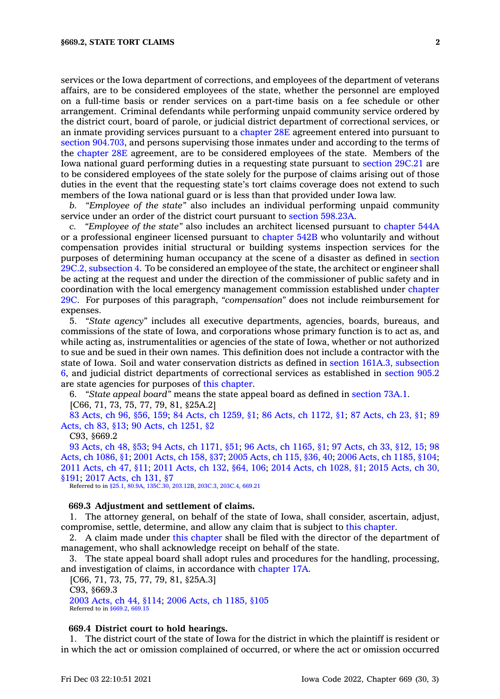services or the Iowa department of corrections, and employees of the department of veterans affairs, are to be considered employees of the state, whether the personnel are employed on <sup>a</sup> full-time basis or render services on <sup>a</sup> part-time basis on <sup>a</sup> fee schedule or other arrangement. Criminal defendants while performing unpaid community service ordered by the district court, board of parole, or judicial district department of correctional services, or an inmate providing services pursuant to <sup>a</sup> [chapter](https://www.legis.iowa.gov/docs/code//28E.pdf) 28E agreement entered into pursuant to section [904.703](https://www.legis.iowa.gov/docs/code/904.703.pdf), and persons supervising those inmates under and according to the terms of the [chapter](https://www.legis.iowa.gov/docs/code//28E.pdf) 28E agreement, are to be considered employees of the state. Members of the Iowa national guard performing duties in <sup>a</sup> requesting state pursuant to [section](https://www.legis.iowa.gov/docs/code/29C.21.pdf) 29C.21 are to be considered employees of the state solely for the purpose of claims arising out of those duties in the event that the requesting state's tort claims coverage does not extend to such members of the Iowa national guard or is less than that provided under Iowa law.

*b. "Employee of the state"* also includes an individual performing unpaid community service under an order of the district court pursuant to section [598.23A](https://www.legis.iowa.gov/docs/code/598.23A.pdf).

*c. "Employee of the state"* also includes an architect licensed pursuant to [chapter](https://www.legis.iowa.gov/docs/code//544A.pdf) 544A or <sup>a</sup> professional engineer licensed pursuant to [chapter](https://www.legis.iowa.gov/docs/code//542B.pdf) 542B who voluntarily and without compensation provides initial structural or building systems inspection services for the purposes of determining human occupancy at the scene of <sup>a</sup> disaster as defined in [section](https://www.legis.iowa.gov/docs/code/29C.2.pdf) 29C.2, [subsection](https://www.legis.iowa.gov/docs/code/29C.2.pdf) 4. To be considered an employee of the state, the architect or engineer shall be acting at the request and under the direction of the commissioner of public safety and in coordination with the local emergency management commission established under [chapter](https://www.legis.iowa.gov/docs/code//29C.pdf) [29C](https://www.legis.iowa.gov/docs/code//29C.pdf). For purposes of this paragraph, *"compensation"* does not include reimbursement for expenses.

5. *"State agency"* includes all executive departments, agencies, boards, bureaus, and commissions of the state of Iowa, and corporations whose primary function is to act as, and while acting as, instrumentalities or agencies of the state of Iowa, whether or not authorized to sue and be sued in their own names. This definition does not include <sup>a</sup> contractor with the state of Iowa. Soil and water conservation districts as defined in section 161A.3, [subsection](https://www.legis.iowa.gov/docs/code/161A.3.pdf) [6](https://www.legis.iowa.gov/docs/code/161A.3.pdf), and judicial district departments of correctional services as established in [section](https://www.legis.iowa.gov/docs/code/905.2.pdf) 905.2 are state agencies for purposes of this [chapter](https://www.legis.iowa.gov/docs/code//669.pdf).

6. *"State appeal board"* means the state appeal board as defined in [section](https://www.legis.iowa.gov/docs/code/73A.1.pdf) 73A.1.

[C66, 71, 73, 75, 77, 79, 81, §25A.2]

83 [Acts,](https://www.legis.iowa.gov/docs/acts/1983/CH0096.pdf) ch 96, §56, 159; 84 Acts, ch [1259,](https://www.legis.iowa.gov/docs/acts/84/CH1259.pdf) §1; 86 Acts, ch [1172,](https://www.legis.iowa.gov/docs/acts/86/CH1172.pdf) §1; 87 [Acts,](https://www.legis.iowa.gov/docs/acts/87/CH0023.pdf) ch 23, §1; [89](https://www.legis.iowa.gov/docs/acts/89/CH0083.pdf) [Acts,](https://www.legis.iowa.gov/docs/acts/89/CH0083.pdf) ch 83, §13; 90 Acts, ch [1251,](https://www.legis.iowa.gov/docs/acts/90/CH1251.pdf) §2

# C93, §669.2

93 [Acts,](https://www.legis.iowa.gov/docs/acts/1993/CH0048.pdf) ch 48, §53; 94 Acts, ch [1171,](https://www.legis.iowa.gov/docs/acts/94/CH1171.pdf) §51; 96 Acts, ch [1165,](https://www.legis.iowa.gov/docs/acts/96/CH1165.pdf) §1; 97 [Acts,](https://www.legis.iowa.gov/docs/acts/97/CH0033.pdf) ch 33, §12, 15; [98](https://www.legis.iowa.gov/docs/acts/98/CH1086.pdf) Acts, ch [1086,](https://www.legis.iowa.gov/docs/acts/98/CH1086.pdf) §1; 2001 [Acts,](https://www.legis.iowa.gov/docs/acts/2001/CH0158.pdf) ch 158, §37; 2005 [Acts,](https://www.legis.iowa.gov/docs/acts/2005/CH0115.pdf) ch 115, §36, 40; 2006 Acts, ch [1185,](https://www.legis.iowa.gov/docs/acts/2006/CH1185.pdf) §104; 2011 [Acts,](https://www.legis.iowa.gov/docs/acts/2011/CH0047.pdf) ch 47, §11; 2011 [Acts,](https://www.legis.iowa.gov/docs/acts/2011/CH0132.pdf) ch 132, §64, 106; 2014 Acts, ch [1028,](https://www.legis.iowa.gov/docs/acts/2014/CH1028.pdf) §1; 2015 [Acts,](https://www.legis.iowa.gov/docs/acts/2015/CH0030.pdf) ch 30, [§191](https://www.legis.iowa.gov/docs/acts/2015/CH0030.pdf); 2017 [Acts,](https://www.legis.iowa.gov/docs/acts/2017/CH0131.pdf) ch 131, §7

Referred to in [§25.1](https://www.legis.iowa.gov/docs/code/25.1.pdf), [80.9A,](https://www.legis.iowa.gov/docs/code/80.9A.pdf) [135C.30](https://www.legis.iowa.gov/docs/code/135C.30.pdf), [203.12B](https://www.legis.iowa.gov/docs/code/203.12B.pdf), [203C.3](https://www.legis.iowa.gov/docs/code/203C.3.pdf), [203C.4](https://www.legis.iowa.gov/docs/code/203C.4.pdf), [669.21](https://www.legis.iowa.gov/docs/code/669.21.pdf)

### **669.3 Adjustment and settlement of claims.**

1. The attorney general, on behalf of the state of Iowa, shall consider, ascertain, adjust, compromise, settle, determine, and allow any claim that is subject to this [chapter](https://www.legis.iowa.gov/docs/code//669.pdf).

2. A claim made under this [chapter](https://www.legis.iowa.gov/docs/code//669.pdf) shall be filed with the director of the department of management, who shall acknowledge receipt on behalf of the state.

3. The state appeal board shall adopt rules and procedures for the handling, processing, and investigation of claims, in accordance with [chapter](https://www.legis.iowa.gov/docs/code//17A.pdf) 17A.

[C66, 71, 73, 75, 77, 79, 81, §25A.3] C93, §669.3

2003 [Acts,](https://www.legis.iowa.gov/docs/acts/2003/CH0044.pdf) ch 44, §114; 2006 Acts, ch [1185,](https://www.legis.iowa.gov/docs/acts/2006/CH1185.pdf) §105 Referred to in [§669.2](https://www.legis.iowa.gov/docs/code/669.2.pdf), [669.15](https://www.legis.iowa.gov/docs/code/669.15.pdf)

### **669.4 District court to hold hearings.**

1. The district court of the state of Iowa for the district in which the plaintiff is resident or in which the act or omission complained of occurred, or where the act or omission occurred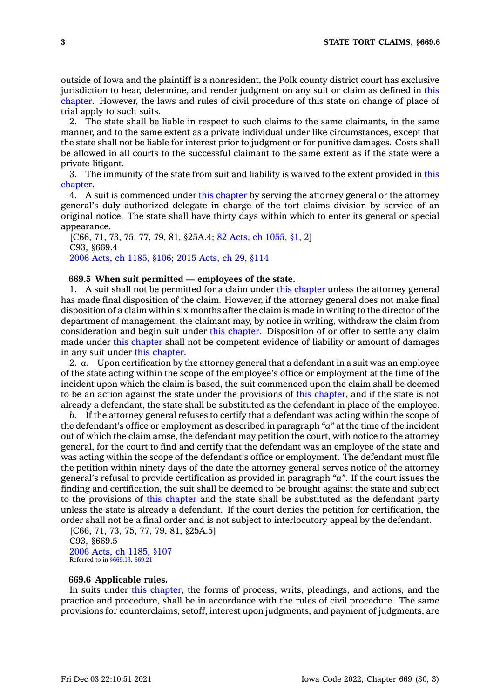outside of Iowa and the plaintiff is <sup>a</sup> nonresident, the Polk county district court has exclusive jurisdiction to hear, determine, and render judgment on any suit or claim as defined in [this](https://www.legis.iowa.gov/docs/code//669.pdf) [chapter](https://www.legis.iowa.gov/docs/code//669.pdf). However, the laws and rules of civil procedure of this state on change of place of trial apply to such suits.

2. The state shall be liable in respect to such claims to the same claimants, in the same manner, and to the same extent as <sup>a</sup> private individual under like circumstances, except that the state shall not be liable for interest prior to judgment or for punitive damages. Costs shall be allowed in all courts to the successful claimant to the same extent as if the state were <sup>a</sup> private litigant.

3. The immunity of the state from suit and liability is waived to the extent provided in [this](https://www.legis.iowa.gov/docs/code//669.pdf) [chapter](https://www.legis.iowa.gov/docs/code//669.pdf).

4. A suit is commenced under this [chapter](https://www.legis.iowa.gov/docs/code//669.pdf) by serving the attorney general or the attorney general's duly authorized delegate in charge of the tort claims division by service of an original notice. The state shall have thirty days within which to enter its general or special appearance.

[C66, 71, 73, 75, 77, 79, 81, §25A.4; 82 Acts, ch [1055,](https://www.legis.iowa.gov/docs/acts/1982/CH1055.pdf) §1, 2] C93, §669.4 2006 Acts, ch [1185,](https://www.legis.iowa.gov/docs/acts/2006/CH1185.pdf) §106; 2015 [Acts,](https://www.legis.iowa.gov/docs/acts/2015/CH0029.pdf) ch 29, §114

### **669.5 When suit permitted — employees of the state.**

1. A suit shall not be permitted for <sup>a</sup> claim under this [chapter](https://www.legis.iowa.gov/docs/code//669.pdf) unless the attorney general has made final disposition of the claim. However, if the attorney general does not make final disposition of <sup>a</sup> claim within six months after the claim is made in writing to the director of the department of management, the claimant may, by notice in writing, withdraw the claim from consideration and begin suit under this [chapter](https://www.legis.iowa.gov/docs/code//669.pdf). Disposition of or offer to settle any claim made under this [chapter](https://www.legis.iowa.gov/docs/code//669.pdf) shall not be competent evidence of liability or amount of damages in any suit under this [chapter](https://www.legis.iowa.gov/docs/code//669.pdf).

2. *a.* Upon certification by the attorney general that <sup>a</sup> defendant in <sup>a</sup> suit was an employee of the state acting within the scope of the employee's office or employment at the time of the incident upon which the claim is based, the suit commenced upon the claim shall be deemed to be an action against the state under the provisions of this [chapter](https://www.legis.iowa.gov/docs/code//669.pdf), and if the state is not already <sup>a</sup> defendant, the state shall be substituted as the defendant in place of the employee.

*b.* If the attorney general refuses to certify that <sup>a</sup> defendant was acting within the scope of the defendant's office or employment as described in paragraph *"a"* at the time of the incident out of which the claim arose, the defendant may petition the court, with notice to the attorney general, for the court to find and certify that the defendant was an employee of the state and was acting within the scope of the defendant's office or employment. The defendant must file the petition within ninety days of the date the attorney general serves notice of the attorney general's refusal to provide certification as provided in paragraph *"a"*. If the court issues the finding and certification, the suit shall be deemed to be brought against the state and subject to the provisions of this [chapter](https://www.legis.iowa.gov/docs/code//669.pdf) and the state shall be substituted as the defendant party unless the state is already <sup>a</sup> defendant. If the court denies the petition for certification, the order shall not be <sup>a</sup> final order and is not subject to interlocutory appeal by the defendant.

[C66, 71, 73, 75, 77, 79, 81, §25A.5] C93, §669.5 2006 Acts, ch [1185,](https://www.legis.iowa.gov/docs/acts/2006/CH1185.pdf) §107 Referred to in [§669.13](https://www.legis.iowa.gov/docs/code/669.13.pdf), [669.21](https://www.legis.iowa.gov/docs/code/669.21.pdf)

### **669.6 Applicable rules.**

In suits under this [chapter](https://www.legis.iowa.gov/docs/code//669.pdf), the forms of process, writs, pleadings, and actions, and the practice and procedure, shall be in accordance with the rules of civil procedure. The same provisions for counterclaims, setoff, interest upon judgments, and payment of judgments, are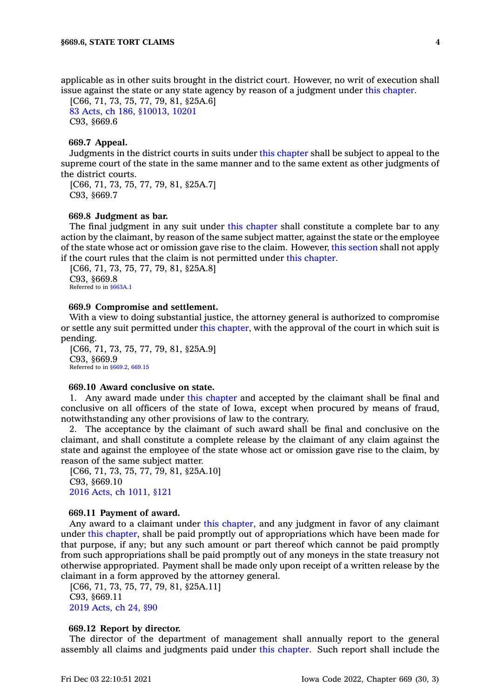applicable as in other suits brought in the district court. However, no writ of execution shall issue against the state or any state agency by reason of <sup>a</sup> judgment under this [chapter](https://www.legis.iowa.gov/docs/code//669.pdf).

[C66, 71, 73, 75, 77, 79, 81, §25A.6] 83 Acts, ch 186, [§10013,](https://www.legis.iowa.gov/docs/acts/1983/CH0186.pdf) 10201 C93, §669.6

# **669.7 Appeal.**

Judgments in the district courts in suits under this [chapter](https://www.legis.iowa.gov/docs/code//669.pdf) shall be subject to appeal to the supreme court of the state in the same manner and to the same extent as other judgments of the district courts.

[C66, 71, 73, 75, 77, 79, 81, §25A.7] C93, §669.7

### **669.8 Judgment as bar.**

The final judgment in any suit under this [chapter](https://www.legis.iowa.gov/docs/code//669.pdf) shall constitute <sup>a</sup> complete bar to any action by the claimant, by reason of the same subject matter, against the state or the employee of the state whose act or omission gave rise to the claim. However, this [section](https://www.legis.iowa.gov/docs/code/669.8.pdf) shall not apply if the court rules that the claim is not permitted under this [chapter](https://www.legis.iowa.gov/docs/code//669.pdf).

[C66, 71, 73, 75, 77, 79, 81, §25A.8] C93, §669.8 Referred to in [§663A.1](https://www.legis.iowa.gov/docs/code/663A.1.pdf)

#### **669.9 Compromise and settlement.**

With <sup>a</sup> view to doing substantial justice, the attorney general is authorized to compromise or settle any suit permitted under this [chapter](https://www.legis.iowa.gov/docs/code//669.pdf), with the approval of the court in which suit is pending.

[C66, 71, 73, 75, 77, 79, 81, §25A.9] C93, §669.9 Referred to in \$669.2, [669.15](https://www.legis.iowa.gov/docs/code/669.15.pdf)

### **669.10 Award conclusive on state.**

1. Any award made under this [chapter](https://www.legis.iowa.gov/docs/code//669.pdf) and accepted by the claimant shall be final and conclusive on all officers of the state of Iowa, except when procured by means of fraud, notwithstanding any other provisions of law to the contrary.

2. The acceptance by the claimant of such award shall be final and conclusive on the claimant, and shall constitute <sup>a</sup> complete release by the claimant of any claim against the state and against the employee of the state whose act or omission gave rise to the claim, by reason of the same subject matter.

[C66, 71, 73, 75, 77, 79, 81, §25A.10] C93, §669.10 2016 Acts, ch [1011,](https://www.legis.iowa.gov/docs/acts/2016/CH1011.pdf) §121

### **669.11 Payment of award.**

Any award to <sup>a</sup> claimant under this [chapter](https://www.legis.iowa.gov/docs/code//669.pdf), and any judgment in favor of any claimant under this [chapter](https://www.legis.iowa.gov/docs/code//669.pdf), shall be paid promptly out of appropriations which have been made for that purpose, if any; but any such amount or part thereof which cannot be paid promptly from such appropriations shall be paid promptly out of any moneys in the state treasury not otherwise appropriated. Payment shall be made only upon receipt of <sup>a</sup> written release by the claimant in <sup>a</sup> form approved by the attorney general.

[C66, 71, 73, 75, 77, 79, 81, §25A.11] C93, §669.11 2019 [Acts,](https://www.legis.iowa.gov/docs/acts/2019/CH0024.pdf) ch 24, §90

### **669.12 Report by director.**

The director of the department of management shall annually report to the general assembly all claims and judgments paid under this [chapter](https://www.legis.iowa.gov/docs/code//669.pdf). Such report shall include the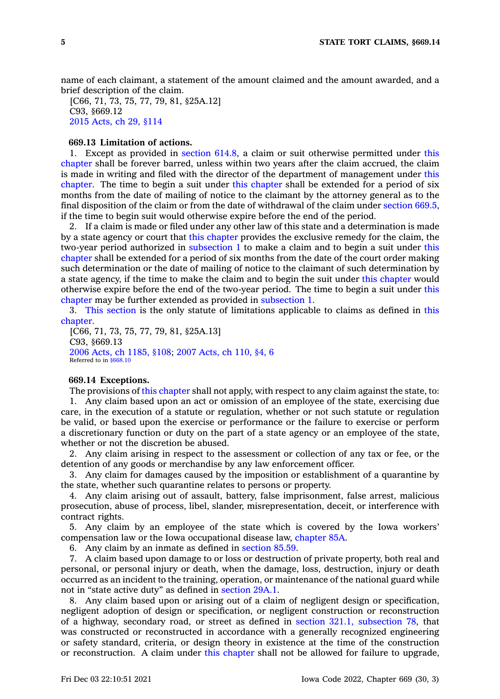name of each claimant, <sup>a</sup> statement of the amount claimed and the amount awarded, and <sup>a</sup> brief description of the claim.

[C66, 71, 73, 75, 77, 79, 81, §25A.12] C93, §669.12 2015 [Acts,](https://www.legis.iowa.gov/docs/acts/2015/CH0029.pdf) ch 29, §114

# **669.13 Limitation of actions.**

1. Except as provided in [section](https://www.legis.iowa.gov/docs/code/614.8.pdf) 614.8, <sup>a</sup> claim or suit otherwise permitted under [this](https://www.legis.iowa.gov/docs/code//669.pdf) [chapter](https://www.legis.iowa.gov/docs/code//669.pdf) shall be forever barred, unless within two years after the claim accrued, the claim is made in writing and filed with the director of the department of management under [this](https://www.legis.iowa.gov/docs/code//669.pdf) [chapter](https://www.legis.iowa.gov/docs/code//669.pdf). The time to begin <sup>a</sup> suit under this [chapter](https://www.legis.iowa.gov/docs/code//669.pdf) shall be extended for <sup>a</sup> period of six months from the date of mailing of notice to the claimant by the attorney general as to the final disposition of the claim or from the date of withdrawal of the claim under [section](https://www.legis.iowa.gov/docs/code/669.5.pdf) 669.5, if the time to begin suit would otherwise expire before the end of the period.

2. If <sup>a</sup> claim is made or filed under any other law of this state and <sup>a</sup> determination is made by <sup>a</sup> state agency or court that this [chapter](https://www.legis.iowa.gov/docs/code//669.pdf) provides the exclusive remedy for the claim, the two-year period authorized in [subsection](https://www.legis.iowa.gov/docs/code/669.13.pdf) 1 to make <sup>a</sup> claim and to begin <sup>a</sup> suit under [this](https://www.legis.iowa.gov/docs/code//669.pdf) [chapter](https://www.legis.iowa.gov/docs/code//669.pdf) shall be extended for <sup>a</sup> period of six months from the date of the court order making such determination or the date of mailing of notice to the claimant of such determination by <sup>a</sup> state agency, if the time to make the claim and to begin the suit under this [chapter](https://www.legis.iowa.gov/docs/code//669.pdf) would otherwise expire before the end of the two-year period. The time to begin <sup>a</sup> suit under [this](https://www.legis.iowa.gov/docs/code//669.pdf) [chapter](https://www.legis.iowa.gov/docs/code//669.pdf) may be further extended as provided in [subsection](https://www.legis.iowa.gov/docs/code/669.13.pdf) 1.

3. This [section](https://www.legis.iowa.gov/docs/code/669.13.pdf) is the only statute of limitations applicable to claims as defined in [this](https://www.legis.iowa.gov/docs/code//669.pdf) [chapter](https://www.legis.iowa.gov/docs/code//669.pdf).

[C66, 71, 73, 75, 77, 79, 81, §25A.13] C93, §669.13 2006 Acts, ch [1185,](https://www.legis.iowa.gov/docs/acts/2006/CH1185.pdf) §108; 2007 [Acts,](https://www.legis.iowa.gov/docs/acts/2007/CH0110.pdf) ch 110, §4, 6 Referred to in [§668.10](https://www.legis.iowa.gov/docs/code/668.10.pdf)

### **669.14 Exceptions.**

The provisions of this [chapter](https://www.legis.iowa.gov/docs/code//669.pdf) shall not apply, with respect to any claim against the state, to:

1. Any claim based upon an act or omission of an employee of the state, exercising due care, in the execution of <sup>a</sup> statute or regulation, whether or not such statute or regulation be valid, or based upon the exercise or performance or the failure to exercise or perform <sup>a</sup> discretionary function or duty on the part of <sup>a</sup> state agency or an employee of the state, whether or not the discretion be abused.

2. Any claim arising in respect to the assessment or collection of any tax or fee, or the detention of any goods or merchandise by any law enforcement officer.

3. Any claim for damages caused by the imposition or establishment of <sup>a</sup> quarantine by the state, whether such quarantine relates to persons or property.

4. Any claim arising out of assault, battery, false imprisonment, false arrest, malicious prosecution, abuse of process, libel, slander, misrepresentation, deceit, or interference with contract rights.

5. Any claim by an employee of the state which is covered by the Iowa workers' compensation law or the Iowa occupational disease law, [chapter](https://www.legis.iowa.gov/docs/code//85A.pdf) 85A.

6. Any claim by an inmate as defined in [section](https://www.legis.iowa.gov/docs/code/85.59.pdf) 85.59.

7. A claim based upon damage to or loss or destruction of private property, both real and personal, or personal injury or death, when the damage, loss, destruction, injury or death occurred as an incident to the training, operation, or maintenance of the national guard while not in "state active duty" as defined in [section](https://www.legis.iowa.gov/docs/code/29A.1.pdf) 29A.1.

8. Any claim based upon or arising out of <sup>a</sup> claim of negligent design or specification, negligent adoption of design or specification, or negligent construction or reconstruction of <sup>a</sup> highway, secondary road, or street as defined in section 321.1, [subsection](https://www.legis.iowa.gov/docs/code/321.1.pdf) 78, that was constructed or reconstructed in accordance with <sup>a</sup> generally recognized engineering or safety standard, criteria, or design theory in existence at the time of the construction or reconstruction. A claim under this [chapter](https://www.legis.iowa.gov/docs/code//669.pdf) shall not be allowed for failure to upgrade,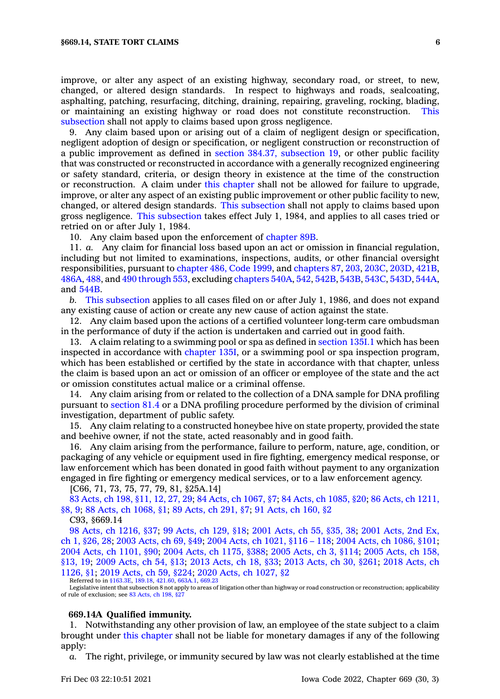improve, or alter any aspect of an existing highway, secondary road, or street, to new, changed, or altered design standards. In respect to highways and roads, sealcoating, asphalting, patching, resurfacing, ditching, draining, repairing, graveling, rocking, blading, or maintaining an existing highway or road does not constitute reconstruction. [This](https://www.legis.iowa.gov/docs/code/669.14.pdf) [subsection](https://www.legis.iowa.gov/docs/code/669.14.pdf) shall not apply to claims based upon gross negligence.

9. Any claim based upon or arising out of <sup>a</sup> claim of negligent design or specification, negligent adoption of design or specification, or negligent construction or reconstruction of <sup>a</sup> public improvement as defined in section 384.37, [subsection](https://www.legis.iowa.gov/docs/code/384.37.pdf) 19, or other public facility that was constructed or reconstructed in accordance with <sup>a</sup> generally recognized engineering or safety standard, criteria, or design theory in existence at the time of the construction or reconstruction. A claim under this [chapter](https://www.legis.iowa.gov/docs/code//669.pdf) shall not be allowed for failure to upgrade, improve, or alter any aspect of an existing public improvement or other public facility to new, changed, or altered design standards. This [subsection](https://www.legis.iowa.gov/docs/code/669.14.pdf) shall not apply to claims based upon gross negligence. This [subsection](https://www.legis.iowa.gov/docs/code/669.14.pdf) takes effect July 1, 1984, and applies to all cases tried or retried on or after July 1, 1984.

10. Any claim based upon the enforcement of [chapter](https://www.legis.iowa.gov/docs/code//89B.pdf) 89B.

11. *a.* Any claim for financial loss based upon an act or omission in financial regulation, including but not limited to examinations, inspections, audits, or other financial oversight responsibilities, pursuant to [chapter](https://www.legis.iowa.gov/docs/code/1999/486.pdf) 486, Code 1999, and [chapters](https://www.legis.iowa.gov/docs/code//87.pdf) 87, [203](https://www.legis.iowa.gov/docs/code//203.pdf), [203C](https://www.legis.iowa.gov/docs/code//203C.pdf), [203D](https://www.legis.iowa.gov/docs/code//203D.pdf), [421B](https://www.legis.iowa.gov/docs/code//421B.pdf), [486A](https://www.legis.iowa.gov/docs/code//486A.pdf), [488](https://www.legis.iowa.gov/docs/code//488.pdf), and 490 [through](https://www.legis.iowa.gov/docs/code/490.pdf) 553, excluding [chapters](https://www.legis.iowa.gov/docs/code//540A.pdf) 540A, [542](https://www.legis.iowa.gov/docs/code//542.pdf), [542B](https://www.legis.iowa.gov/docs/code//542B.pdf), [543B](https://www.legis.iowa.gov/docs/code//543B.pdf), [543C](https://www.legis.iowa.gov/docs/code//543C.pdf), [543D](https://www.legis.iowa.gov/docs/code//543D.pdf), [544A](https://www.legis.iowa.gov/docs/code//544A.pdf), and [544B](https://www.legis.iowa.gov/docs/code//544B.pdf).

*b.* This [subsection](https://www.legis.iowa.gov/docs/code/669.14.pdf) applies to all cases filed on or after July 1, 1986, and does not expand any existing cause of action or create any new cause of action against the state.

12. Any claim based upon the actions of <sup>a</sup> certified volunteer long-term care ombudsman in the performance of duty if the action is undertaken and carried out in good faith.

13. A claim relating to <sup>a</sup> swimming pool or spa as defined in [section](https://www.legis.iowa.gov/docs/code/135I.1.pdf) 135I.1 which has been inspected in accordance with [chapter](https://www.legis.iowa.gov/docs/code//135I.pdf) 135I, or <sup>a</sup> swimming pool or spa inspection program, which has been established or certified by the state in accordance with that chapter, unless the claim is based upon an act or omission of an officer or employee of the state and the act or omission constitutes actual malice or <sup>a</sup> criminal offense.

14. Any claim arising from or related to the collection of <sup>a</sup> DNA sample for DNA profiling pursuant to [section](https://www.legis.iowa.gov/docs/code/81.4.pdf) 81.4 or <sup>a</sup> DNA profiling procedure performed by the division of criminal investigation, department of public safety.

15. Any claim relating to <sup>a</sup> constructed honeybee hive on state property, provided the state and beehive owner, if not the state, acted reasonably and in good faith.

16. Any claim arising from the performance, failure to perform, nature, age, condition, or packaging of any vehicle or equipment used in fire fighting, emergency medical response, or law enforcement which has been donated in good faith without payment to any organization engaged in fire fighting or emergency medical services, or to <sup>a</sup> law enforcement agency.

[C66, 71, 73, 75, 77, 79, 81, §25A.14]

83 [Acts,](https://www.legis.iowa.gov/docs/acts/1983/CH0198.pdf) ch 198, §11, 12, 27, 29; 84 Acts, ch [1067,](https://www.legis.iowa.gov/docs/acts/84/CH1067.pdf) §7; 84 Acts, ch [1085,](https://www.legis.iowa.gov/docs/acts/84/CH1085.pdf) §20; 86 Acts, ch [1211,](https://www.legis.iowa.gov/docs/acts/86/CH1211.pdf) [§8,](https://www.legis.iowa.gov/docs/acts/86/CH1211.pdf) 9; 88 Acts, ch [1068,](https://www.legis.iowa.gov/docs/acts/88/CH1068.pdf) §1; 89 [Acts,](https://www.legis.iowa.gov/docs/acts/89/CH0291.pdf) ch 291, §7; 91 [Acts,](https://www.legis.iowa.gov/docs/acts/91/CH0160.pdf) ch 160, §2

C93, §669.14

98 Acts, ch [1216,](https://www.legis.iowa.gov/docs/acts/1998/CH1216.pdf) §37; 99 [Acts,](https://www.legis.iowa.gov/docs/acts/99/CH0129.pdf) ch 129, §18; 2001 [Acts,](https://www.legis.iowa.gov/docs/acts/2001/CH0055.pdf) ch 55, §35, 38; 2001 [Acts,](https://www.legis.iowa.gov/docs/acts/2001/CH0001.pdf) 2nd Ex, ch 1, [§26,](https://www.legis.iowa.gov/docs/acts/2001/CH0001.pdf) 28; 2003 [Acts,](https://www.legis.iowa.gov/docs/acts/2003/CH0069.pdf) ch 69, §49; 2004 Acts, ch [1021,](https://www.legis.iowa.gov/docs/acts/2004/CH1021.pdf) §116 – 118; 2004 Acts, ch [1086,](https://www.legis.iowa.gov/docs/acts/2004/CH1086.pdf) §101; 2004 Acts, ch [1101,](https://www.legis.iowa.gov/docs/acts/2004/CH1101.pdf) §90; 2004 Acts, ch [1175,](https://www.legis.iowa.gov/docs/acts/2004/CH1175.pdf) §388; 2005 [Acts,](https://www.legis.iowa.gov/docs/acts/2005/CH0003.pdf) ch 3, §114; 2005 [Acts,](https://www.legis.iowa.gov/docs/acts/2005/CH0158.pdf) ch 158, [§13,](https://www.legis.iowa.gov/docs/acts/2005/CH0158.pdf) 19; 2009 [Acts,](https://www.legis.iowa.gov/docs/acts/2009/CH0054.pdf) ch 54, §13; 2013 [Acts,](https://www.legis.iowa.gov/docs/acts/2013/CH0018.pdf) ch 18, §33; 2013 [Acts,](https://www.legis.iowa.gov/docs/acts/2013/CH0030.pdf) ch 30, §261; 2018 [Acts,](https://www.legis.iowa.gov/docs/acts/2018/CH1126.pdf) ch [1126,](https://www.legis.iowa.gov/docs/acts/2018/CH1126.pdf) §1; 2019 [Acts,](https://www.legis.iowa.gov/docs/acts/2019/CH0059.pdf) ch 59, §224; 2020 Acts, ch [1027,](https://www.legis.iowa.gov/docs/acts/2020/CH1027.pdf) §2

Referred to in [§163.3E](https://www.legis.iowa.gov/docs/code/163.3E.pdf), [189.18,](https://www.legis.iowa.gov/docs/code/189.18.pdf) [421.60](https://www.legis.iowa.gov/docs/code/421.60.pdf), [663A.1,](https://www.legis.iowa.gov/docs/code/663A.1.pdf) [669.23](https://www.legis.iowa.gov/docs/code/669.23.pdf)

Legislative intent that subsection 8 not apply to areas of litigation other than highway or road construction or reconstruction; applicability of rule of exclusion; see 83 [Acts,](https://www.legis.iowa.gov/docs/acts/83/CH0198.pdf) ch 198, §27

### **669.14A Qualified immunity.**

1. Notwithstanding any other provision of law, an employee of the state subject to <sup>a</sup> claim brought under this [chapter](https://www.legis.iowa.gov/docs/code//669.pdf) shall not be liable for monetary damages if any of the following apply:

*a.* The right, privilege, or immunity secured by law was not clearly established at the time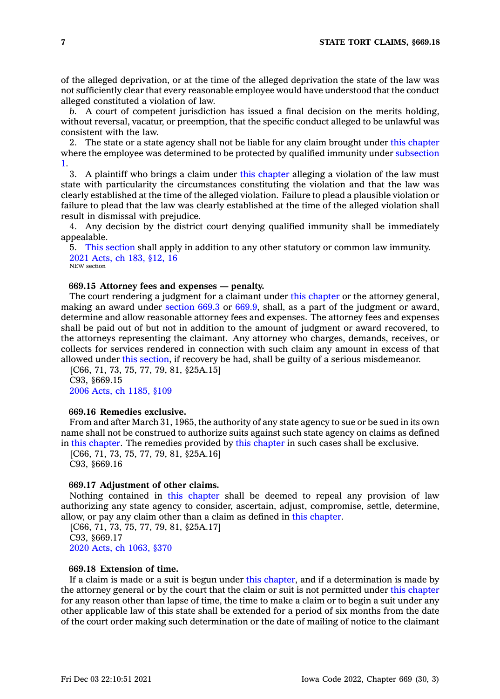of the alleged deprivation, or at the time of the alleged deprivation the state of the law was not sufficiently clear that every reasonable employee would have understood that the conduct alleged constituted <sup>a</sup> violation of law.

*b.* A court of competent jurisdiction has issued <sup>a</sup> final decision on the merits holding, without reversal, vacatur, or preemption, that the specific conduct alleged to be unlawful was consistent with the law.

2. The state or <sup>a</sup> state agency shall not be liable for any claim brought under this [chapter](https://www.legis.iowa.gov/docs/code//669.pdf) where the employee was determined to be protected by qualified immunity under [subsection](https://www.legis.iowa.gov/docs/code/669.14A.pdf) [1](https://www.legis.iowa.gov/docs/code/669.14A.pdf).

3. A plaintiff who brings <sup>a</sup> claim under this [chapter](https://www.legis.iowa.gov/docs/code//669.pdf) alleging <sup>a</sup> violation of the law must state with particularity the circumstances constituting the violation and that the law was clearly established at the time of the alleged violation. Failure to plead <sup>a</sup> plausible violation or failure to plead that the law was clearly established at the time of the alleged violation shall result in dismissal with prejudice.

4. Any decision by the district court denying qualified immunity shall be immediately appealable.

5. This [section](https://www.legis.iowa.gov/docs/code/669.14A.pdf) shall apply in addition to any other statutory or common law immunity. 2021 [Acts,](https://www.legis.iowa.gov/docs/acts/2021/CH0183.pdf) ch 183, §12, 16

NEW section

### **669.15 Attorney fees and expenses — penalty.**

The court rendering <sup>a</sup> judgment for <sup>a</sup> claimant under this [chapter](https://www.legis.iowa.gov/docs/code//669.pdf) or the attorney general, making an award under [section](https://www.legis.iowa.gov/docs/code/669.3.pdf) 669.3 or [669.9](https://www.legis.iowa.gov/docs/code/669.9.pdf), shall, as <sup>a</sup> part of the judgment or award, determine and allow reasonable attorney fees and expenses. The attorney fees and expenses shall be paid out of but not in addition to the amount of judgment or award recovered, to the attorneys representing the claimant. Any attorney who charges, demands, receives, or collects for services rendered in connection with such claim any amount in excess of that allowed under this [section](https://www.legis.iowa.gov/docs/code/669.15.pdf), if recovery be had, shall be guilty of <sup>a</sup> serious misdemeanor.

[C66, 71, 73, 75, 77, 79, 81, §25A.15] C93, §669.15 2006 Acts, ch [1185,](https://www.legis.iowa.gov/docs/acts/2006/CH1185.pdf) §109

### **669.16 Remedies exclusive.**

From and after March 31, 1965, the authority of any state agency to sue or be sued in its own name shall not be construed to authorize suits against such state agency on claims as defined in this [chapter](https://www.legis.iowa.gov/docs/code//669.pdf). The remedies provided by this [chapter](https://www.legis.iowa.gov/docs/code//669.pdf) in such cases shall be exclusive.

[C66, 71, 73, 75, 77, 79, 81, §25A.16] C93, §669.16

# **669.17 Adjustment of other claims.**

Nothing contained in this [chapter](https://www.legis.iowa.gov/docs/code//669.pdf) shall be deemed to repeal any provision of law authorizing any state agency to consider, ascertain, adjust, compromise, settle, determine, allow, or pay any claim other than <sup>a</sup> claim as defined in this [chapter](https://www.legis.iowa.gov/docs/code//669.pdf).

[C66, 71, 73, 75, 77, 79, 81, §25A.17] C93, §669.17 2020 Acts, ch [1063,](https://www.legis.iowa.gov/docs/acts/2020/CH1063.pdf) §370

# **669.18 Extension of time.**

If <sup>a</sup> claim is made or <sup>a</sup> suit is begun under this [chapter](https://www.legis.iowa.gov/docs/code//669.pdf), and if <sup>a</sup> determination is made by the attorney general or by the court that the claim or suit is not permitted under this [chapter](https://www.legis.iowa.gov/docs/code//669.pdf) for any reason other than lapse of time, the time to make <sup>a</sup> claim or to begin <sup>a</sup> suit under any other applicable law of this state shall be extended for <sup>a</sup> period of six months from the date of the court order making such determination or the date of mailing of notice to the claimant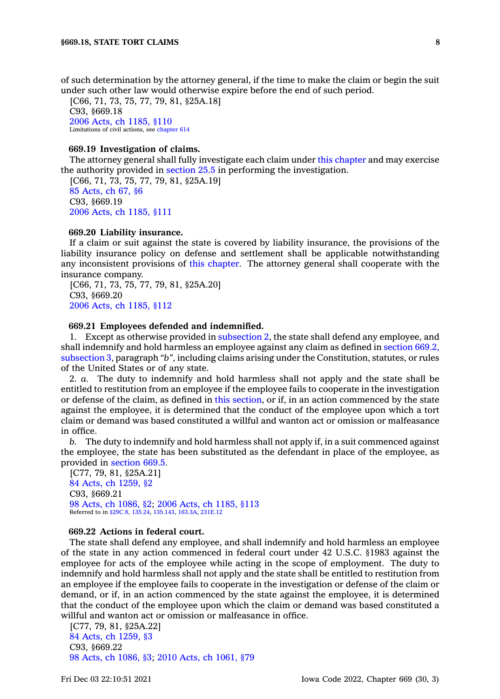of such determination by the attorney general, if the time to make the claim or begin the suit under such other law would otherwise expire before the end of such period.

[C66, 71, 73, 75, 77, 79, 81, §25A.18] C93, §669.18 2006 Acts, ch [1185,](https://www.legis.iowa.gov/docs/acts/2006/CH1185.pdf) §110 Limitations of civil actions, see [chapter](https://www.legis.iowa.gov/docs/code//614.pdf) 614

### **669.19 Investigation of claims.**

The attorney general shall fully investigate each claim under this [chapter](https://www.legis.iowa.gov/docs/code//669.pdf) and may exercise the authority provided in [section](https://www.legis.iowa.gov/docs/code/25.5.pdf) 25.5 in performing the investigation.

[C66, 71, 73, 75, 77, 79, 81, §25A.19] 85 [Acts,](https://www.legis.iowa.gov/docs/acts/1985/CH0067.pdf) ch 67, §6 C93, §669.19 2006 Acts, ch [1185,](https://www.legis.iowa.gov/docs/acts/2006/CH1185.pdf) §111

### **669.20 Liability insurance.**

If <sup>a</sup> claim or suit against the state is covered by liability insurance, the provisions of the liability insurance policy on defense and settlement shall be applicable notwithstanding any inconsistent provisions of this [chapter](https://www.legis.iowa.gov/docs/code//669.pdf). The attorney general shall cooperate with the insurance company.

[C66, 71, 73, 75, 77, 79, 81, §25A.20] C93, §669.20 2006 Acts, ch [1185,](https://www.legis.iowa.gov/docs/acts/2006/CH1185.pdf) §112

### **669.21 Employees defended and indemnified.**

1. Except as otherwise provided in [subsection](https://www.legis.iowa.gov/docs/code/669.21.pdf) 2, the state shall defend any employee, and shall indemnify and hold harmless an employee against any claim as defined in [section](https://www.legis.iowa.gov/docs/code/669.2.pdf) 669.2, [subsection](https://www.legis.iowa.gov/docs/code/669.2.pdf) 3, paragraph *"b"*, including claims arising under the Constitution, statutes, or rules of the United States or of any state.

2. *a.* The duty to indemnify and hold harmless shall not apply and the state shall be entitled to restitution from an employee if the employee fails to cooperate in the investigation or defense of the claim, as defined in this [section](https://www.legis.iowa.gov/docs/code/669.21.pdf), or if, in an action commenced by the state against the employee, it is determined that the conduct of the employee upon which <sup>a</sup> tort claim or demand was based constituted <sup>a</sup> willful and wanton act or omission or malfeasance in office.

*b.* The duty to indemnify and hold harmless shall not apply if, in <sup>a</sup> suit commenced against the employee, the state has been substituted as the defendant in place of the employee, as provided in [section](https://www.legis.iowa.gov/docs/code/669.5.pdf) 669.5.

[C77, 79, 81, §25A.21] 84 Acts, ch [1259,](https://www.legis.iowa.gov/docs/acts/1984/CH1259.pdf) §2 C93, §669.21 98 Acts, ch [1086,](https://www.legis.iowa.gov/docs/acts/1998/CH1086.pdf) §2; 2006 Acts, ch [1185,](https://www.legis.iowa.gov/docs/acts/2006/CH1185.pdf) §113 Referred to in [§29C.8](https://www.legis.iowa.gov/docs/code/29C.8.pdf), [135.24](https://www.legis.iowa.gov/docs/code/135.24.pdf), [135.143](https://www.legis.iowa.gov/docs/code/135.143.pdf), [163.3A](https://www.legis.iowa.gov/docs/code/163.3A.pdf), [231E.12](https://www.legis.iowa.gov/docs/code/231E.12.pdf)

### **669.22 Actions in federal court.**

The state shall defend any employee, and shall indemnify and hold harmless an employee of the state in any action commenced in federal court under 42 U.S.C. §1983 against the employee for acts of the employee while acting in the scope of employment. The duty to indemnify and hold harmless shall not apply and the state shall be entitled to restitution from an employee if the employee fails to cooperate in the investigation or defense of the claim or demand, or if, in an action commenced by the state against the employee, it is determined that the conduct of the employee upon which the claim or demand was based constituted <sup>a</sup> willful and wanton act or omission or malfeasance in office.

[C77, 79, 81, §25A.22] 84 Acts, ch [1259,](https://www.legis.iowa.gov/docs/acts/1984/CH1259.pdf) §3 C93, §669.22 98 Acts, ch [1086,](https://www.legis.iowa.gov/docs/acts/1998/CH1086.pdf) §3; 2010 Acts, ch [1061,](https://www.legis.iowa.gov/docs/acts/2010/CH1061.pdf) §79